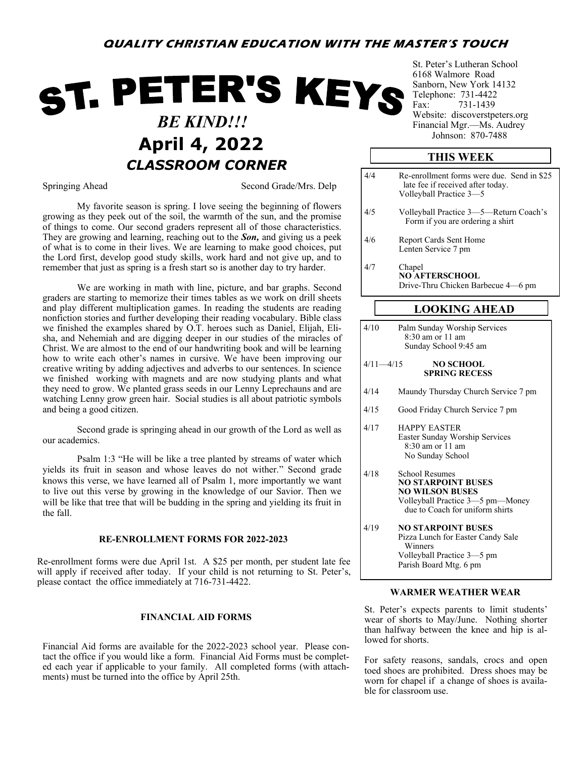### **QUALITY CHRISTIAN EDUCATION WITH THE MASTER'S TOUCH**

# ST. PETER'S KEYS  *BE KIND!!!* Johnson: 870-<sup>7488</sup> **April 4, 2022** *CLASSROOM CORNER*

Springing Ahead Second Grade/Mrs. Delp

My favorite season is spring. I love seeing the beginning of flowers growing as they peek out of the soil, the warmth of the sun, and the promise of things to come. Our second graders represent all of those characteristics. They are growing and learning, reaching out to the *Son,* and giving us a peek of what is to come in their lives. We are learning to make good choices, put the Lord first, develop good study skills, work hard and not give up, and to remember that just as spring is a fresh start so is another day to try harder.

We are working in math with line, picture, and bar graphs. Second graders are starting to memorize their times tables as we work on drill sheets and play different multiplication games. In reading the students are reading nonfiction stories and further developing their reading vocabulary. Bible class we finished the examples shared by O.T. heroes such as Daniel, Elijah, Elisha, and Nehemiah and are digging deeper in our studies of the miracles of Christ. We are almost to the end of our handwriting book and will be learning how to write each other's names in cursive. We have been improving our creative writing by adding adjectives and adverbs to our sentences. In science we finished working with magnets and are now studying plants and what they need to grow. We planted grass seeds in our Lenny Leprechauns and are watching Lenny grow green hair. Social studies is all about patriotic symbols and being a good citizen.

Second grade is springing ahead in our growth of the Lord as well as our academics.

Psalm 1:3 "He will be like a tree planted by streams of water which yields its fruit in season and whose leaves do not wither." Second grade knows this verse, we have learned all of Psalm 1, more importantly we want to live out this verse by growing in the knowledge of our Savior. Then we will be like that tree that will be budding in the spring and yielding its fruit in the fall.

#### **RE-ENROLLMENT FORMS FOR 2022-2023**

Re-enrollment forms were due April 1st. A \$25 per month, per student late fee will apply if received after today. If your child is not returning to St. Peter's, please contact the office immediately at 716-731-4422.

#### **FINANCIAL AID FORMS**

Financial Aid forms are available for the 2022-2023 school year. Please contact the office if you would like a form. Financial Aid Forms must be completed each year if applicable to your family. All completed forms (with attachments) must be turned into the office by April 25th.

St. Peter's Lutheran School 6168 Walmore Road Sanborn, New York 14132 Telephone: 731-4422 Fax: 731-1439 Website: discoverstpeters.org Financial Mgr.—Ms. Audrey

#### **THIS WEEK**

| 4/4           | Re-enrollment forms were due. Send in \$25<br>late fee if received after today.<br>Volleyball Practice 3-5                                          |  |  |  |  |  |
|---------------|-----------------------------------------------------------------------------------------------------------------------------------------------------|--|--|--|--|--|
| 4/5           | Volleyball Practice 3-5-Return Coach's<br>Form if you are ordering a shirt                                                                          |  |  |  |  |  |
| 4/6           | Report Cards Sent Home<br>Lenten Service 7 pm                                                                                                       |  |  |  |  |  |
| 4/7           | Chapel<br><b>NO AFTERSCHOOL</b><br>Drive-Thru Chicken Barbecue 4-6 pm                                                                               |  |  |  |  |  |
|               | <b>LOOKING AHEAD</b>                                                                                                                                |  |  |  |  |  |
|               |                                                                                                                                                     |  |  |  |  |  |
| 4/10          | Palm Sunday Worship Services<br>8:30 am or 11 am<br>Sunday School 9:45 am                                                                           |  |  |  |  |  |
| $4/11 - 4/15$ | <b>NO SCHOOL</b><br><b>SPRING RECESS</b>                                                                                                            |  |  |  |  |  |
| 4/14          | Maundy Thursday Church Service 7 pm                                                                                                                 |  |  |  |  |  |
| 4/15          | Good Friday Church Service 7 pm                                                                                                                     |  |  |  |  |  |
| 4/17          | <b>HAPPY EASTER</b><br>Easter Sunday Worship Services<br>8:30 am or 11 am<br>No Sunday School                                                       |  |  |  |  |  |
| 4/18          | <b>School Resumes</b><br><b>NO STARPOINT BUSES</b><br><b>NO WILSON BUSES</b><br>Volleyball Practice 3-5 pm-Money<br>due to Coach for uniform shirts |  |  |  |  |  |
| 4/19          | <b>NO STARPOINT BUSES</b><br>Dizzo Lunch for Foster Condy Sole                                                                                      |  |  |  |  |  |

Pizza Lunch for Easter Candy Sale Winners Volleyball Practice 3—5 pm Parish Board Mtg. 6 pm

#### **WARMER WEATHER WEAR**

St. Peter's expects parents to limit students' wear of shorts to May/June. Nothing shorter than halfway between the knee and hip is allowed for shorts.

For safety reasons, sandals, crocs and open toed shoes are prohibited. Dress shoes may be worn for chapel if a change of shoes is available for classroom use.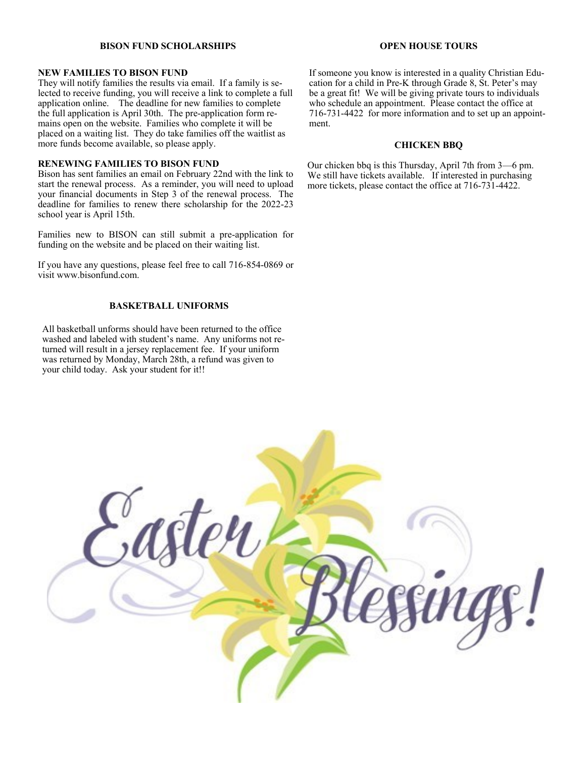#### **BISON FUND SCHOLARSHIPS**

#### **NEW FAMILIES TO BISON FUND**

They will notify families the results via email. If a family is selected to receive funding, you will receive a link to complete a full application online. The deadline for new families to complete the full application is April 30th. The pre-application form remains open on the website. Families who complete it will be placed on a waiting list. They do take families off the waitlist as more funds become available, so please apply.

#### **RENEWING FAMILIES TO BISON FUND**

Bison has sent families an email on February 22nd with the link to start the renewal process. As a reminder, you will need to upload your financial documents in Step 3 of the renewal process. The deadline for families to renew there scholarship for the 2022-23 school year is April 15th.

Families new to BISON can still submit a pre-application for funding on the website and be placed on their waiting list.

If you have any questions, please feel free to call 716-854-0869 or visit www.bisonfund.com.

#### **BASKETBALL UNIFORMS**

All basketball unforms should have been returned to the office washed and labeled with student's name. Any uniforms not returned will result in a jersey replacement fee. If your uniform was returned by Monday, March 28th, a refund was given to your child today. Ask your student for it!!

#### **OPEN HOUSE TOURS**

If someone you know is interested in a quality Christian Education for a child in Pre-K through Grade 8, St. Peter's may be a great fit! We will be giving private tours to individuals who schedule an appointment. Please contact the office at 716-731-4422 for more information and to set up an appointment.

#### **CHICKEN BBQ**

Our chicken bbq is this Thursday, April 7th from 3—6 pm. We still have tickets available. If interested in purchasing more tickets, please contact the office at 716-731-4422.